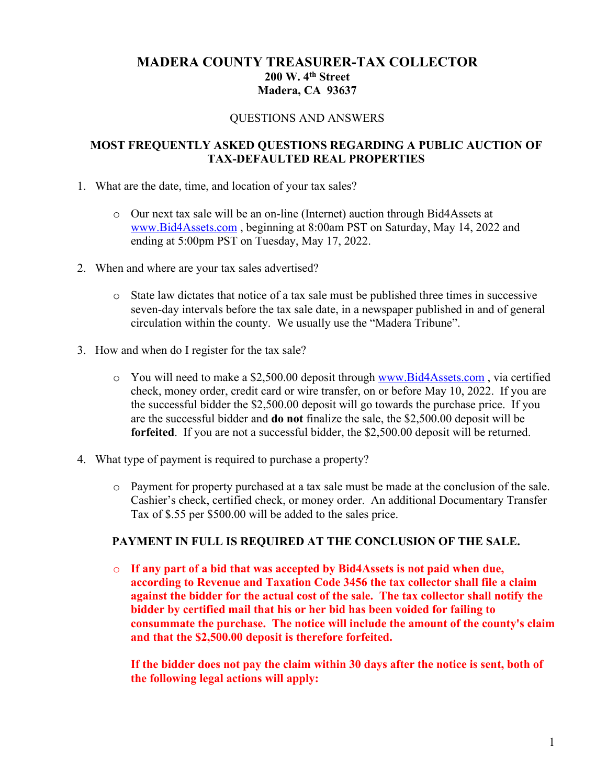# **MADERA COUNTY TREASURER-TAX COLLECTOR 200 W. 4th Street Madera, CA 93637**

#### QUESTIONS AND ANSWERS

### **MOST FREQUENTLY ASKED QUESTIONS REGARDING A PUBLIC AUCTION OF TAX-DEFAULTED REAL PROPERTIES**

- 1. What are the date, time, and location of your tax sales?
	- o Our next tax sale will be an on-line (Internet) auction through Bid4Assets at [www.Bid4Assets.com](http://www.bid4assets.com/) , beginning at 8:00am PST on Saturday, May 14, 2022 and ending at 5:00pm PST on Tuesday, May 17, 2022.
- 2. When and where are your tax sales advertised?
	- o State law dictates that notice of a tax sale must be published three times in successive seven-day intervals before the tax sale date, in a newspaper published in and of general circulation within the county. We usually use the "Madera Tribune".
- 3. How and when do I register for the tax sale?
	- o You will need to make a \$2,500.00 deposit through [www.Bid4Assets.com](http://www.bid4assets.com/) , via certified check, money order, credit card or wire transfer, on or before May 10, 2022. If you are the successful bidder the \$2,500.00 deposit will go towards the purchase price. If you are the successful bidder and **do not** finalize the sale, the \$2,500.00 deposit will be **forfeited**. If you are not a successful bidder, the \$2,500.00 deposit will be returned.
- 4. What type of payment is required to purchase a property?
	- o Payment for property purchased at a tax sale must be made at the conclusion of the sale. Cashier's check, certified check, or money order. An additional Documentary Transfer Tax of \$.55 per \$500.00 will be added to the sales price.

#### **PAYMENT IN FULL IS REQUIRED AT THE CONCLUSION OF THE SALE.**

o **If any part of a bid that was accepted by Bid4Assets is not paid when due, according to Revenue and Taxation Code 3456 the tax collector shall file a claim against the bidder for the actual cost of the sale. The tax collector shall notify the bidder by certified mail that his or her bid has been voided for failing to consummate the purchase. The notice will include the amount of the county's claim and that the \$2,500.00 deposit is therefore forfeited.** 

**If the bidder does not pay the claim within 30 days after the notice is sent, both of the following legal actions will apply:**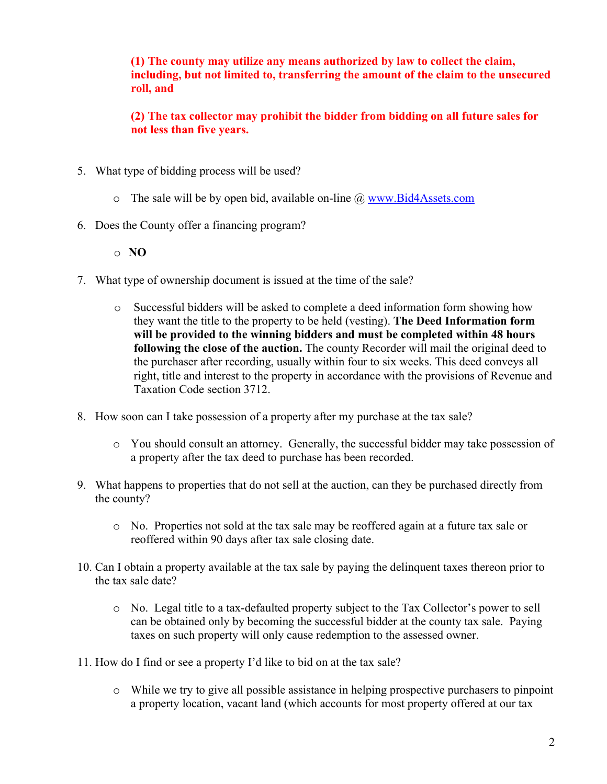**(1) The county may utilize any means authorized by law to collect the claim, including, but not limited to, transferring the amount of the claim to the unsecured roll, and** 

**(2) The tax collector may prohibit the bidder from bidding on all future sales for not less than five years.**

- 5. What type of bidding process will be used?
	- $\circ$  The sale will be by open bid, available on-line  $\omega$  www.Bid4Assets.com
- 6. Does the County offer a financing program?

o **NO**

- 7. What type of ownership document is issued at the time of the sale?
	- o Successful bidders will be asked to complete a deed information form showing how they want the title to the property to be held (vesting). **The Deed Information form will be provided to the winning bidders and must be completed within 48 hours following the close of the auction.** The county Recorder will mail the original deed to the purchaser after recording, usually within four to six weeks. This deed conveys all right, title and interest to the property in accordance with the provisions of Revenue and Taxation Code section 3712.
- 8. How soon can I take possession of a property after my purchase at the tax sale?
	- o You should consult an attorney. Generally, the successful bidder may take possession of a property after the tax deed to purchase has been recorded.
- 9. What happens to properties that do not sell at the auction, can they be purchased directly from the county?
	- o No. Properties not sold at the tax sale may be reoffered again at a future tax sale or reoffered within 90 days after tax sale closing date.
- 10. Can I obtain a property available at the tax sale by paying the delinquent taxes thereon prior to the tax sale date?
	- o No. Legal title to a tax-defaulted property subject to the Tax Collector's power to sell can be obtained only by becoming the successful bidder at the county tax sale. Paying taxes on such property will only cause redemption to the assessed owner.
- 11. How do I find or see a property I'd like to bid on at the tax sale?
	- o While we try to give all possible assistance in helping prospective purchasers to pinpoint a property location, vacant land (which accounts for most property offered at our tax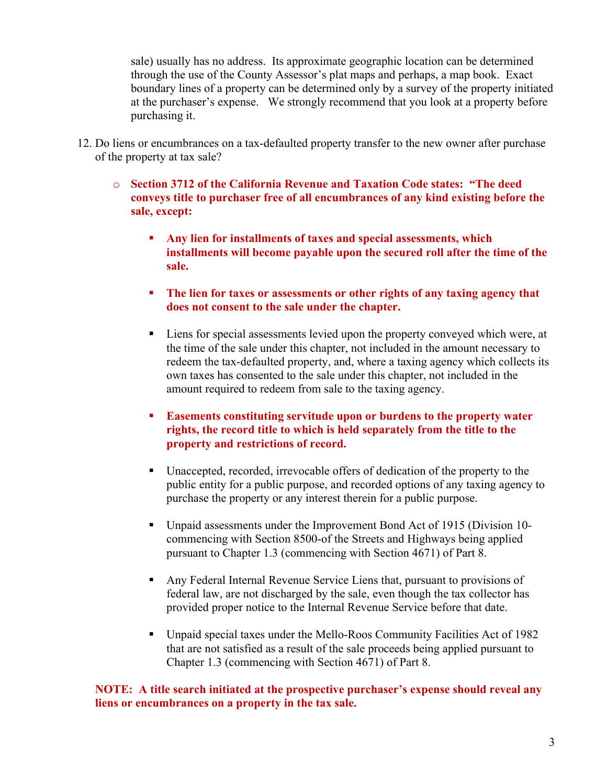sale) usually has no address. Its approximate geographic location can be determined through the use of the County Assessor's plat maps and perhaps, a map book. Exact boundary lines of a property can be determined only by a survey of the property initiated at the purchaser's expense. We strongly recommend that you look at a property before purchasing it.

- 12. Do liens or encumbrances on a tax-defaulted property transfer to the new owner after purchase of the property at tax sale?
	- o **Section 3712 of the California Revenue and Taxation Code states: "The deed conveys title to purchaser free of all encumbrances of any kind existing before the sale, except:**
		- **Any lien for installments of taxes and special assessments, which installments will become payable upon the secured roll after the time of the sale.**
		- **The lien for taxes or assessments or other rights of any taxing agency that does not consent to the sale under the chapter.**
		- Liens for special assessments levied upon the property conveyed which were, at the time of the sale under this chapter, not included in the amount necessary to redeem the tax-defaulted property, and, where a taxing agency which collects its own taxes has consented to the sale under this chapter, not included in the amount required to redeem from sale to the taxing agency.
		- **Easements constituting servitude upon or burdens to the property water rights, the record title to which is held separately from the title to the property and restrictions of record.**
		- Unaccepted, recorded, irrevocable offers of dedication of the property to the public entity for a public purpose, and recorded options of any taxing agency to purchase the property or any interest therein for a public purpose.
		- Unpaid assessments under the Improvement Bond Act of 1915 (Division 10 commencing with Section 8500-of the Streets and Highways being applied pursuant to Chapter 1.3 (commencing with Section 4671) of Part 8.
		- Any Federal Internal Revenue Service Liens that, pursuant to provisions of federal law, are not discharged by the sale, even though the tax collector has provided proper notice to the Internal Revenue Service before that date.
		- Unpaid special taxes under the Mello-Roos Community Facilities Act of 1982 that are not satisfied as a result of the sale proceeds being applied pursuant to Chapter 1.3 (commencing with Section 4671) of Part 8.

### **NOTE: A title search initiated at the prospective purchaser's expense should reveal any liens or encumbrances on a property in the tax sale.**